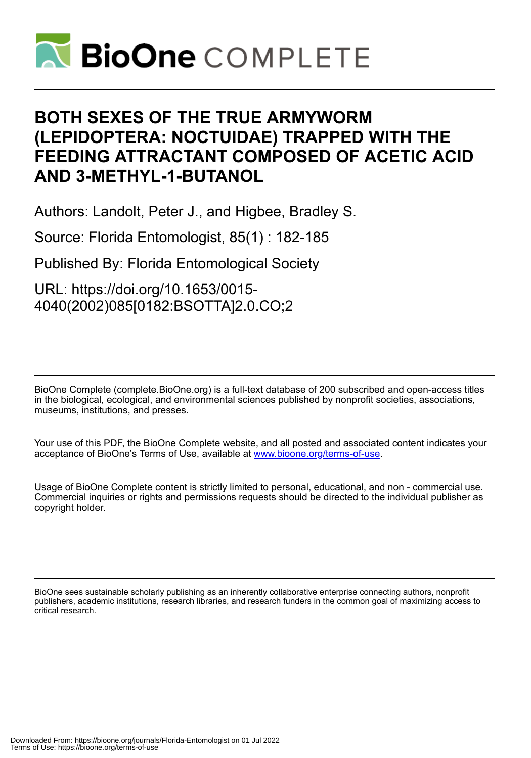

# **BOTH SEXES OF THE TRUE ARMYWORM (LEPIDOPTERA: NOCTUIDAE) TRAPPED WITH THE FEEDING ATTRACTANT COMPOSED OF ACETIC ACID AND 3-METHYL-1-BUTANOL**

Authors: Landolt, Peter J., and Higbee, Bradley S.

Source: Florida Entomologist, 85(1) : 182-185

Published By: Florida Entomological Society

URL: https://doi.org/10.1653/0015- 4040(2002)085[0182:BSOTTA]2.0.CO;2

BioOne Complete (complete.BioOne.org) is a full-text database of 200 subscribed and open-access titles in the biological, ecological, and environmental sciences published by nonprofit societies, associations, museums, institutions, and presses.

Your use of this PDF, the BioOne Complete website, and all posted and associated content indicates your acceptance of BioOne's Terms of Use, available at www.bioone.org/terms-of-use.

Usage of BioOne Complete content is strictly limited to personal, educational, and non - commercial use. Commercial inquiries or rights and permissions requests should be directed to the individual publisher as copyright holder.

BioOne sees sustainable scholarly publishing as an inherently collaborative enterprise connecting authors, nonprofit publishers, academic institutions, research libraries, and research funders in the common goal of maximizing access to critical research.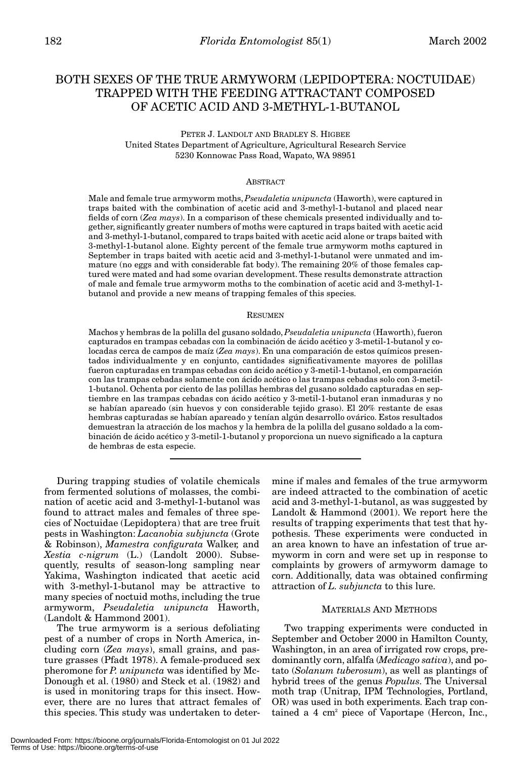# BOTH SEXES OF THE TRUE ARMYWORM (LEPIDOPTERA: NOCTUIDAE) TRAPPED WITH THE FEEDING ATTRACTANT COMPOSED OF ACETIC ACID AND 3-METHYL-1-BUTANOL

PETER J. LANDOLT AND BRADLEY S. HIGBEE United States Department of Agriculture, Agricultural Research Service 5230 Konnowac Pass Road, Wapato, WA 98951

### ABSTRACT

Male and female true armyworm moths, *Pseudaletia unipuncta* (Haworth), were captured in traps baited with the combination of acetic acid and 3-methyl-1-butanol and placed near fields of corn (*Zea mays*). In a comparison of these chemicals presented individually and together, significantly greater numbers of moths were captured in traps baited with acetic acid and 3-methyl-1-butanol, compared to traps baited with acetic acid alone or traps baited with 3-methyl-1-butanol alone. Eighty percent of the female true armyworm moths captured in September in traps baited with acetic acid and 3-methyl-1-butanol were unmated and immature (no eggs and with considerable fat body). The remaining 20% of those females captured were mated and had some ovarian development. These results demonstrate attraction of male and female true armyworm moths to the combination of acetic acid and 3-methyl-1 butanol and provide a new means of trapping females of this species.

#### RESUMEN

Machos y hembras de la polilla del gusano soldado, *Pseudaletia unipuncta* (Haworth), fueron capturados en trampas cebadas con la combinación de ácido acético y 3-metil-1-butanol y colocadas cerca de campos de maíz (*Zea mays*). En una comparación de estos químicos presentados individualmente y en conjunto, cantidades significativamente mayores de polillas fueron capturadas en trampas cebadas con ácido acético y 3-metil-1-butanol, en comparación con las trampas cebadas solamente con ácido acético o las trampas cebadas solo con 3-metil-1-butanol. Ochenta por ciento de las polillas hembras del gusano soldado capturadas en septiembre en las trampas cebadas con ácido acético y 3-metil-1-butanol eran inmaduras y no se habían apareado (sin huevos y con considerable tejido graso). El 20% restante de esas hembras capturadas se habían apareado y tenían algún desarrollo ovárico. Estos resultados demuestran la atracción de los machos y la hembra de la polilla del gusano soldado a la combinación de ácido acético y 3-metil-1-butanol y proporciona un nuevo significado a la captura de hembras de esta especie.

During trapping studies of volatile chemicals from fermented solutions of molasses, the combination of acetic acid and 3-methyl-1-butanol was found to attract males and females of three species of Noctuidae (Lepidoptera) that are tree fruit pests in Washington: *Lacanobia subjuncta* (Grote & Robinson), *Mamestra configurata* Walker*,* and *Xestia c-nigrum* (L.) (Landolt 2000). Subsequently, results of season-long sampling near Yakima, Washington indicated that acetic acid with 3-methyl-1-butanol may be attractive to many species of noctuid moths, including the true armyworm, *Pseudaletia unipuncta* Haworth, (Landolt & Hammond 2001).

The true armyworm is a serious defoliating pest of a number of crops in North America, including corn (*Zea mays*), small grains, and pasture grasses (Pfadt 1978). A female-produced sex pheromone for *P. unipuncta* was identified by Mc-Donough et al. (1980) and Steck et al. (1982) and is used in monitoring traps for this insect. However, there are no lures that attract females of this species. This study was undertaken to determine if males and females of the true armyworm are indeed attracted to the combination of acetic acid and 3-methyl-1-butanol, as was suggested by Landolt & Hammond (2001). We report here the results of trapping experiments that test that hypothesis. These experiments were conducted in an area known to have an infestation of true armyworm in corn and were set up in response to complaints by growers of armyworm damage to corn. Additionally, data was obtained confirming attraction of *L. subjuncta* to this lure.

#### MATERIALS AND METHODS

Two trapping experiments were conducted in September and October 2000 in Hamilton County, Washington, in an area of irrigated row crops, predominantly corn, alfalfa (*Medicago sativa*), and potato (*Solanum tuberosum*), as well as plantings of hybrid trees of the genus *Populus*. The Universal moth trap (Unitrap, IPM Technologies, Portland, OR) was used in both experiments. Each trap contained a 4 cm<sup>2</sup> piece of Vaportape (Hercon, Inc.,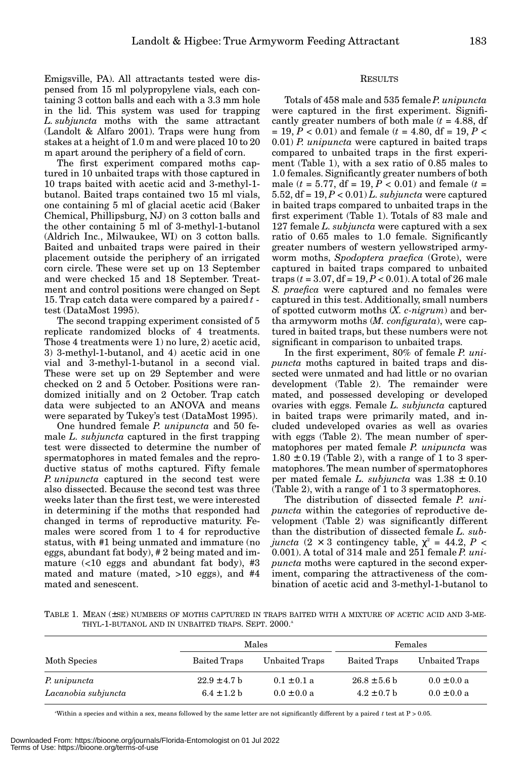Emigsville, PA). All attractants tested were dispensed from 15 ml polypropylene vials, each containing 3 cotton balls and each with a 3.3 mm hole in the lid. This system was used for trapping *L. subjuncta* moths with the same attractant (Landolt & Alfaro 2001). Traps were hung from stakes at a height of 1.0 m and were placed 10 to 20 m apart around the periphery of a field of corn.

The first experiment compared moths captured in 10 unbaited traps with those captured in 10 traps baited with acetic acid and 3-methyl-1 butanol. Baited traps contained two 15 ml vials, one containing 5 ml of glacial acetic acid (Baker Chemical, Phillipsburg, NJ) on 3 cotton balls and the other containing 5 ml of 3-methyl-1-butanol (Aldrich Inc., Milwaukee, WI) on 3 cotton balls. Baited and unbaited traps were paired in their placement outside the periphery of an irrigated corn circle. These were set up on 13 September and were checked 15 and 18 September. Treatment and control positions were changed on Sept 15. Trap catch data were compared by a paired *t* test (DataMost 1995).

The second trapping experiment consisted of 5 replicate randomized blocks of 4 treatments. Those 4 treatments were 1) no lure, 2) acetic acid, 3) 3-methyl-1-butanol, and 4) acetic acid in one vial and 3-methyl-1-butanol in a second vial. These were set up on 29 September and were checked on 2 and 5 October. Positions were randomized initially and on 2 October. Trap catch data were subjected to an ANOVA and means were separated by Tukey's test (DataMost 1995).

One hundred female *P. unipuncta* and 50 female *L. subjuncta* captured in the first trapping test were dissected to determine the number of spermatophores in mated females and the reproductive status of moths captured. Fifty female *P. unipuncta* captured in the second test were also dissected. Because the second test was three weeks later than the first test, we were interested in determining if the moths that responded had changed in terms of reproductive maturity. Females were scored from 1 to 4 for reproductive status, with #1 being unmated and immature (no eggs, abundant fat body), # 2 being mated and immature  $\left($  <10 eggs and abundant fat body), #3 mated and mature (mated, >10 eggs), and #4 mated and senescent.

# RESULTS

Totals of 458 male and 535 female*P. unipuncta* were captured in the first experiment. Significantly greater numbers of both male  $(t = 4.88, df)$ = 19, *P* < 0.01) and female (*t* = 4.80, df = 19, *P* < 0.01) *P. unipuncta* were captured in baited traps compared to unbaited traps in the first experiment (Table 1), with a sex ratio of 0.85 males to 1.0 females. Significantly greater numbers of both male ( $t = 5.77$ , df = 19,  $P < 0.01$ ) and female ( $t =$ 5.52, df = 19, *P* < 0.01) *L. subjuncta* were captured in baited traps compared to unbaited traps in the first experiment (Table 1). Totals of 83 male and 127 female *L. subjuncta* were captured with a sex ratio of 0.65 males to 1.0 female. Significantly greater numbers of western yellowstriped armyworm moths, *Spodoptera praefica* (Grote), were captured in baited traps compared to unbaited traps  $(t = 3.07, df = 19, P < 0.01)$ . A total of 26 male *S. praefica* were captured and no females were captured in this test. Additionally, small numbers of spotted cutworm moths (*X. c-nigrum*) and bertha armyworm moths (*M. configurata*), were captured in baited traps, but these numbers were not significant in comparison to unbaited traps.

In the first experiment, 80% of female *P. unipuncta* moths captured in baited traps and dissected were unmated and had little or no ovarian development (Table 2). The remainder were mated, and possessed developing or developed ovaries with eggs. Female *L. subjuncta* captured in baited traps were primarily mated, and included undeveloped ovaries as well as ovaries with eggs (Table 2). The mean number of spermatophores per mated female *P. unipuncta* was  $1.80 \pm 0.19$  (Table 2), with a range of 1 to 3 spermatophores. The mean number of spermatophores per mated female *L. subjuncta* was 1.38 ± 0.10 (Table 2), with a range of 1 to 3 spermatophores.

The distribution of dissected female *P. unipuncta* within the categories of reproductive development (Table 2) was significantly different than the distribution of dissected female *L. subjuncta*  $(2 \times 3$  contingency table,  $\chi^2 = 44.2$ ,  $P \leq$ 0.001). A total of 314 male and 251 female *P. unipuncta* moths were captured in the second experiment, comparing the attractiveness of the combination of acetic acid and 3-methyl-1-butanol to

TABLE 1. MEAN (±SE) NUMBERS OF MOTHS CAPTURED IN TRAPS BAITED WITH A MIXTURE OF ACETIC ACID AND 3-ME-THYL-1-BUTANOL AND IN UNBAITED TRAPS. SEPT. 2000.<sup>A</sup>

|                                     |                                     | Males                              | Females                             |                                    |  |
|-------------------------------------|-------------------------------------|------------------------------------|-------------------------------------|------------------------------------|--|
| Moth Species                        | Baited Traps                        | Unbaited Traps                     | Baited Traps                        | Unbaited Traps                     |  |
| P. unipuncta<br>Lacanobia subjuncta | $22.9 \pm 4.7$ b<br>$6.4 \pm 1.2 h$ | $0.1 \pm 0.1 a$<br>$0.0 \pm 0.0 a$ | $26.8 \pm 5.6$ b<br>$4.2 \pm 0.7$ b | $0.0 \pm 0.0 a$<br>$0.0 \pm 0.0 a$ |  |

a Within a species and within a sex, means followed by the same letter are not significantly different by a paired *t* test at P > 0.05.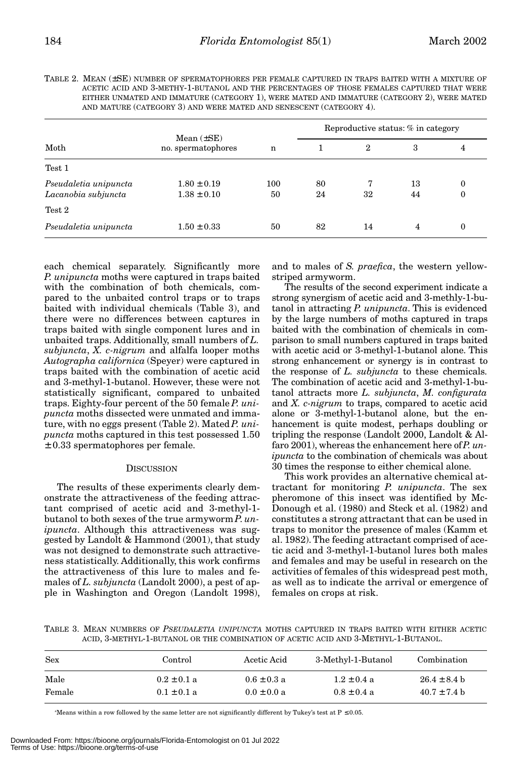| Moth                  | Mean $(\pm SE)$<br>no. spermatophores | n   | Reproductive status: % in category |                |    |                  |
|-----------------------|---------------------------------------|-----|------------------------------------|----------------|----|------------------|
|                       |                                       |     |                                    | $\overline{2}$ | 3  | 4                |
| Test 1                |                                       |     |                                    |                |    |                  |
| Pseudaletia unipuncta | $1.80 \pm 0.19$                       | 100 | 80                                 |                | 13 | $\theta$         |
| Lacanobia subjuncta   | $1.38 \pm 0.10$                       | 50  | 24                                 | 32             | 44 | $\boldsymbol{0}$ |
| Test 2                |                                       |     |                                    |                |    |                  |
| Pseudaletia unipuncta | $1.50 \pm 0.33$                       | 50  | 82                                 | 14             | 4  | $\boldsymbol{0}$ |

TABLE 2. MEAN (±SE) NUMBER OF SPERMATOPHORES PER FEMALE CAPTURED IN TRAPS BAITED WITH A MIXTURE OF ACETIC ACID AND 3-METHY-1-BUTANOL AND THE PERCENTAGES OF THOSE FEMALES CAPTURED THAT WERE EITHER UNMATED AND IMMATURE (CATEGORY 1), WERE MATED AND IMMATURE (CATEGORY 2), WERE MATED AND MATURE (CATEGORY 3) AND WERE MATED AND SENESCENT (CATEGORY 4).

each chemical separately. Significantly more *P. unipuncta* moths were captured in traps baited with the combination of both chemicals, compared to the unbaited control traps or to traps baited with individual chemicals (Table 3), and there were no differences between captures in traps baited with single component lures and in unbaited traps. Additionally, small numbers of *L. subjuncta*, *X. c-nigrum* and alfalfa looper moths *Autographa californica* (Speyer) were captured in traps baited with the combination of acetic acid and 3-methyl-1-butanol. However, these were not statistically significant, compared to unbaited traps. Eighty-four percent of the 50 female *P. unipuncta* moths dissected were unmated and immature, with no eggs present (Table 2). Mated *P. unipuncta* moths captured in this test possessed 1.50 ± 0.33 spermatophores per female.

## **DISCUSSION**

The results of these experiments clearly demonstrate the attractiveness of the feeding attractant comprised of acetic acid and 3-methyl-1 butanol to both sexes of the true armyworm *P*. *unipuncta*. Although this attractiveness was suggested by Landolt & Hammond (2001), that study was not designed to demonstrate such attractiveness statistically. Additionally, this work confirms the attractiveness of this lure to males and females of *L. subjuncta* (Landolt 2000), a pest of apple in Washington and Oregon (Landolt 1998),

and to males of *S. praefica*, the western yellowstriped armyworm.

The results of the second experiment indicate a strong synergism of acetic acid and 3-methly-1-butanol in attracting *P. unipuncta*. This is evidenced by the large numbers of moths captured in traps baited with the combination of chemicals in comparison to small numbers captured in traps baited with acetic acid or 3-methyl-1-butanol alone. This strong enhancement or synergy is in contrast to the response of *L. subjuncta* to these chemicals. The combination of acetic acid and 3-methyl-1-butanol attracts more *L. subjuncta*, *M. configurata* and *X. c-nigrum* to traps, compared to acetic acid alone or 3-methyl-1-butanol alone, but the enhancement is quite modest, perhaps doubling or tripling the response (Landolt 2000, Landolt & Alfaro 2001), whereas the enhancement here of *P. unipuncta* to the combination of chemicals was about 30 times the response to either chemical alone.

This work provides an alternative chemical attractant for monitoring *P. unipuncta*. The sex pheromone of this insect was identified by Mc-Donough et al. (1980) and Steck et al. (1982) and constitutes a strong attractant that can be used in traps to monitor the presence of males (Kamm et al. 1982). The feeding attractant comprised of acetic acid and 3-methyl-1-butanol lures both males and females and may be useful in research on the activities of females of this widespread pest moth, as well as to indicate the arrival or emergence of females on crops at risk.

TABLE 3. MEAN NUMBERS OF *PSEUDALETIA UNIPUNCTA* MOTHS CAPTURED IN TRAPS BAITED WITH EITHER ACETIC ACID, 3-METHYL-1-BUTANOL OR THE COMBINATION OF ACETIC ACID AND 3-METHYL-1-BUTANOL.

| Sex    | Control         | Acetic Acid     | 3-Methyl-1-Butanol | Combination      |
|--------|-----------------|-----------------|--------------------|------------------|
| Male   | $0.2 \pm 0.1 a$ | $0.6 \pm 0.3 a$ | $1.2 \pm 0.4$ a    | $26.4 \pm 8.4$ b |
| Female | $0.1 \pm 0.1 a$ | $0.0 \pm 0.0 a$ | $0.8 \pm 0.4$ a    | $40.7 \pm 7.4$ b |

a Means within a row followed by the same letter are not significantly different by Tukey's test at P ≤ 0.05.